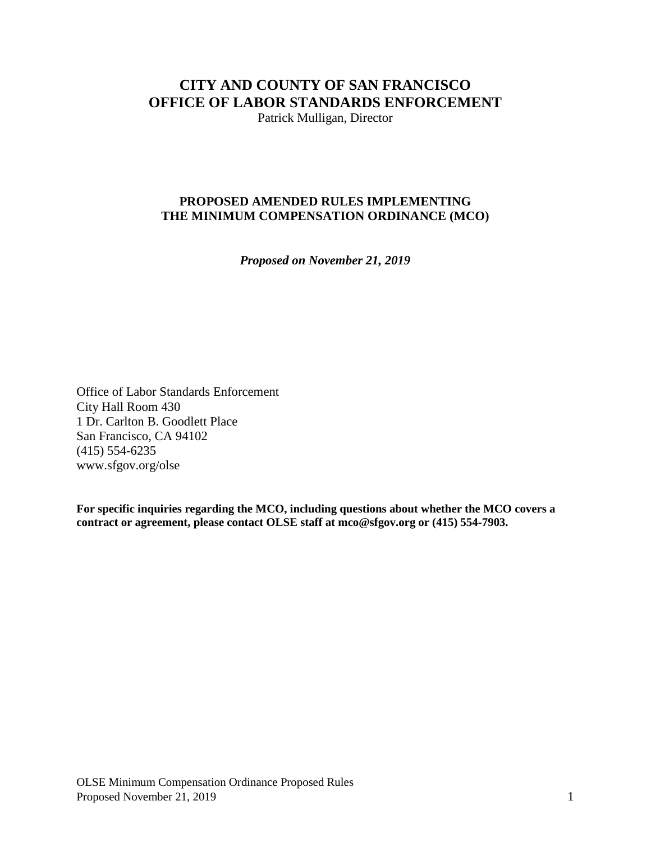# **CITY AND COUNTY OF SAN FRANCISCO OFFICE OF LABOR STANDARDS ENFORCEMENT**

Patrick Mulligan, Director

# **PROPOSED AMENDED RULES IMPLEMENTING THE MINIMUM COMPENSATION ORDINANCE (MCO)**

*Proposed on November 21, 2019*

Office of Labor Standards Enforcement City Hall Room 430 1 Dr. Carlton B. Goodlett Place San Francisco, CA 94102 (415) 554-6235 www.sfgov.org/olse

**For specific inquiries regarding the MCO, including questions about whether the MCO covers a contract or agreement, please contact OLSE staff at [mco@sfgov.org](mailto:mco@sfgov.org) or (415) 554-7903.**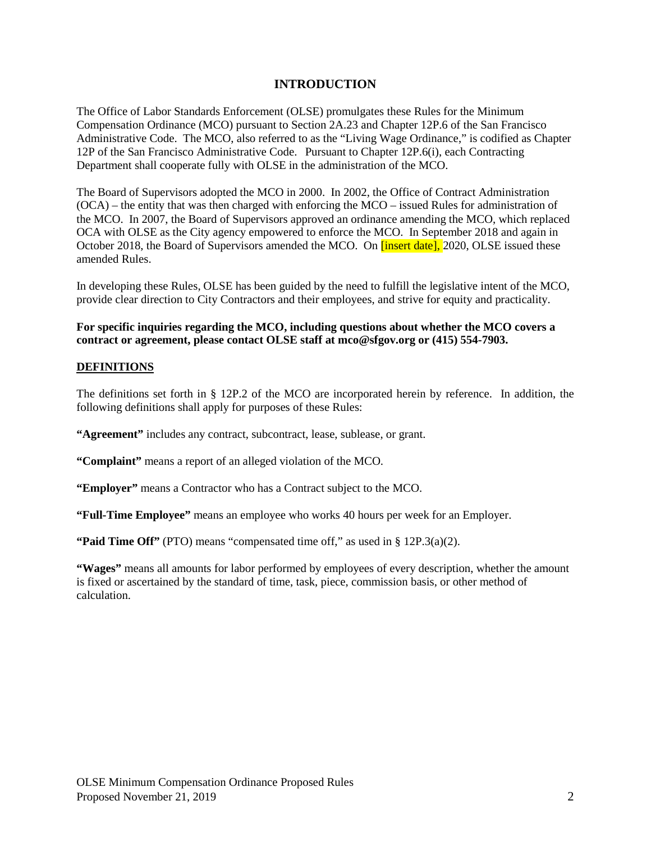# **INTRODUCTION**

The Office of Labor Standards Enforcement (OLSE) promulgates these Rules for the Minimum Compensation Ordinance (MCO) pursuant to Section 2A.23 and Chapter 12P.6 of the San Francisco Administrative Code. The MCO, also referred to as the "Living Wage Ordinance," is codified as Chapter 12P of the San Francisco Administrative Code. Pursuant to Chapter 12P.6(i), each Contracting Department shall cooperate fully with OLSE in the administration of the MCO.

The Board of Supervisors adopted the MCO in 2000. In 2002, the Office of Contract Administration (OCA) – the entity that was then charged with enforcing the MCO – issued Rules for administration of the MCO. In 2007, the Board of Supervisors approved an ordinance amending the MCO, which replaced OCA with OLSE as the City agency empowered to enforce the MCO. In September 2018 and again in October 2018, the Board of Supervisors amended the MCO. On *[insert date]*, 2020, OLSE issued these amended Rules.

In developing these Rules, OLSE has been guided by the need to fulfill the legislative intent of the MCO, provide clear direction to City Contractors and their employees, and strive for equity and practicality.

## **For specific inquiries regarding the MCO, including questions about whether the MCO covers a contract or agreement, please contact OLSE staff at [mco@sfgov.org](mailto:mco@sfgov.org) or (415) 554-7903.**

#### **DEFINITIONS**

The definitions set forth in § 12P.2 of the MCO are incorporated herein by reference. In addition, the following definitions shall apply for purposes of these Rules:

**"Agreement"** includes any contract, subcontract, lease, sublease, or grant.

**"Complaint"** means a report of an alleged violation of the MCO.

**"Employer"** means a Contractor who has a Contract subject to the MCO.

**"Full-Time Employee"** means an employee who works 40 hours per week for an Employer.

**"Paid Time Off"** (PTO) means "compensated time off," as used in § 12P.3(a)(2).

**"Wages"** means all amounts for labor performed by employees of every description, whether the amount is fixed or ascertained by the standard of time, task, piece, commission basis, or other method of calculation.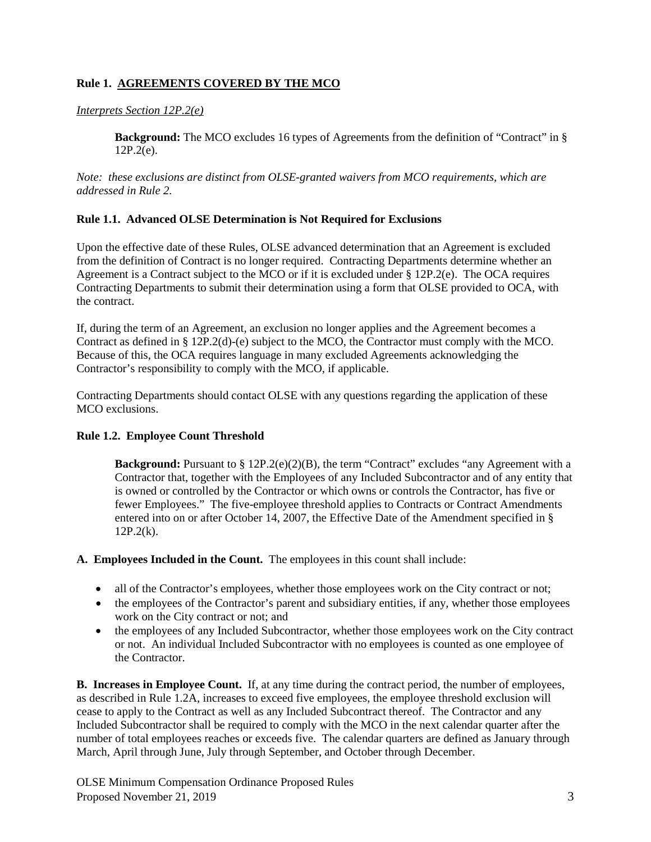## **Rule 1. AGREEMENTS COVERED BY THE MCO**

## *Interprets Section 12P.2(e)*

**Background:** The MCO excludes 16 types of Agreements from the definition of "Contract" in § 12P.2(e).

*Note: these exclusions are distinct from OLSE-granted waivers from MCO requirements, which are addressed in Rule 2.*

## **Rule 1.1. Advanced OLSE Determination is Not Required for Exclusions**

Upon the effective date of these Rules, OLSE advanced determination that an Agreement is excluded from the definition of Contract is no longer required. Contracting Departments determine whether an Agreement is a Contract subject to the MCO or if it is excluded under § 12P.2(e). The OCA requires Contracting Departments to submit their determination using a form that OLSE provided to OCA, with the contract.

If, during the term of an Agreement, an exclusion no longer applies and the Agreement becomes a Contract as defined in § 12P.2(d)-(e) subject to the MCO, the Contractor must comply with the MCO. Because of this, the OCA requires language in many excluded Agreements acknowledging the Contractor's responsibility to comply with the MCO, if applicable.

Contracting Departments should contact OLSE with any questions regarding the application of these MCO exclusions.

## **Rule 1.2. Employee Count Threshold**

**Background:** Pursuant to § 12P.2(e)(2)(B), the term "Contract" excludes "any Agreement with a Contractor that, together with the Employees of any Included Subcontractor and of any entity that is owned or controlled by the Contractor or which owns or controls the Contractor, has five or fewer Employees." The five-employee threshold applies to Contracts or Contract Amendments entered into on or after October 14, 2007, the Effective Date of the Amendment specified in §  $12P.2(k)$ .

**A. Employees Included in the Count.** The employees in this count shall include:

- all of the Contractor's employees, whether those employees work on the City contract or not;
- the employees of the Contractor's parent and subsidiary entities, if any, whether those employees work on the City contract or not; and
- the employees of any Included Subcontractor, whether those employees work on the City contract or not. An individual Included Subcontractor with no employees is counted as one employee of the Contractor.

**B. Increases in Employee Count.** If, at any time during the contract period, the number of employees, as described in Rule 1.2A, increases to exceed five employees, the employee threshold exclusion will cease to apply to the Contract as well as any Included Subcontract thereof. The Contractor and any Included Subcontractor shall be required to comply with the MCO in the next calendar quarter after the number of total employees reaches or exceeds five. The calendar quarters are defined as January through March, April through June, July through September, and October through December.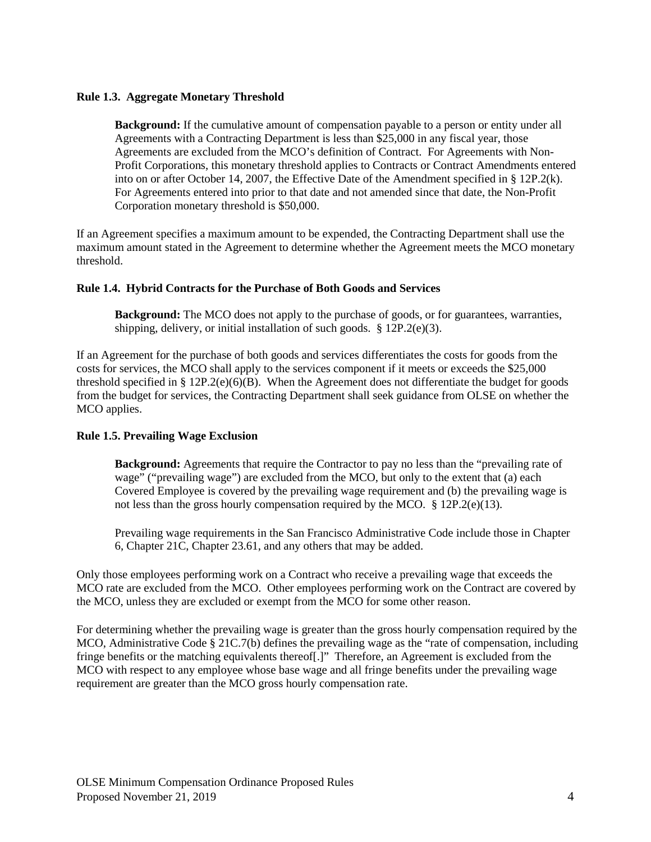## **Rule 1.3. Aggregate Monetary Threshold**

**Background:** If the cumulative amount of compensation payable to a person or entity under all Agreements with a Contracting Department is less than \$25,000 in any fiscal year, those Agreements are excluded from the MCO's definition of Contract. For Agreements with Non-Profit Corporations, this monetary threshold applies to Contracts or Contract Amendments entered into on or after October 14, 2007, the Effective Date of the Amendment specified in § 12P.2(k). For Agreements entered into prior to that date and not amended since that date, the Non-Profit Corporation monetary threshold is \$50,000.

If an Agreement specifies a maximum amount to be expended, the Contracting Department shall use the maximum amount stated in the Agreement to determine whether the Agreement meets the MCO monetary threshold.

## **Rule 1.4. Hybrid Contracts for the Purchase of Both Goods and Services**

**Background:** The MCO does not apply to the purchase of goods, or for guarantees, warranties, shipping, delivery, or initial installation of such goods.  $\S 12P.2(e)(3)$ .

If an Agreement for the purchase of both goods and services differentiates the costs for goods from the costs for services, the MCO shall apply to the services component if it meets or exceeds the \$25,000 threshold specified in § 12P.2(e)(6)(B). When the Agreement does not differentiate the budget for goods from the budget for services, the Contracting Department shall seek guidance from OLSE on whether the MCO applies.

## **Rule 1.5. Prevailing Wage Exclusion**

**Background:** Agreements that require the Contractor to pay no less than the "prevailing rate of wage" ("prevailing wage") are excluded from the MCO, but only to the extent that (a) each Covered Employee is covered by the prevailing wage requirement and (b) the prevailing wage is not less than the gross hourly compensation required by the MCO. § 12P.2(e)(13).

Prevailing wage requirements in the San Francisco Administrative Code include those in Chapter 6, Chapter 21C, Chapter 23.61, and any others that may be added.

Only those employees performing work on a Contract who receive a prevailing wage that exceeds the MCO rate are excluded from the MCO. Other employees performing work on the Contract are covered by the MCO, unless they are excluded or exempt from the MCO for some other reason.

For determining whether the prevailing wage is greater than the gross hourly compensation required by the MCO, Administrative Code § 21C.7(b) defines the prevailing wage as the "rate of compensation, including fringe benefits or the matching equivalents thereof[.]" Therefore, an Agreement is excluded from the MCO with respect to any employee whose base wage and all fringe benefits under the prevailing wage requirement are greater than the MCO gross hourly compensation rate.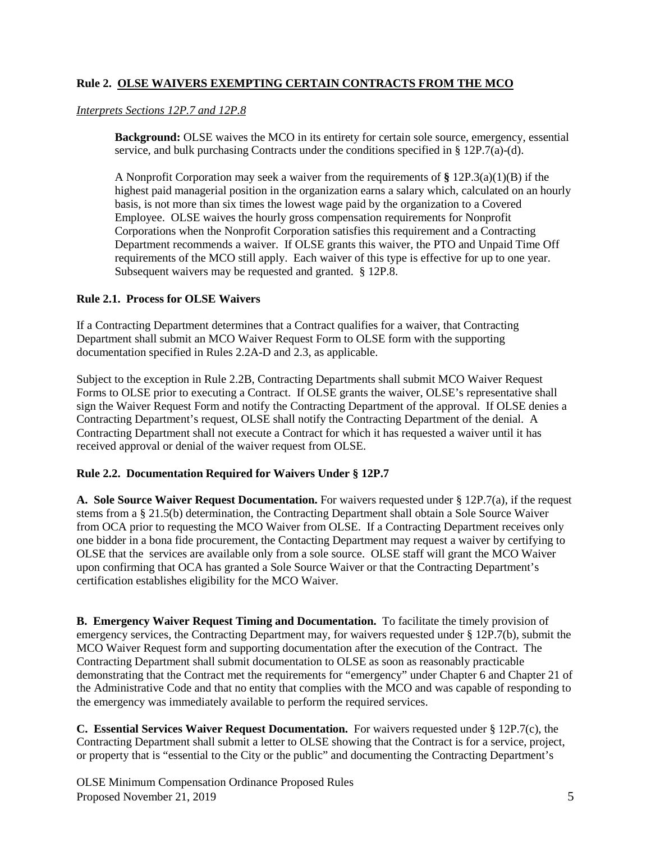# **Rule 2. OLSE WAIVERS EXEMPTING CERTAIN CONTRACTS FROM THE MCO**

#### *Interprets Sections 12P.7 and 12P.8*

**Background:** OLSE waives the MCO in its entirety for certain sole source, emergency, essential service, and bulk purchasing Contracts under the conditions specified in § 12P.7(a)-(d).

A Nonprofit Corporation may seek a waiver from the requirements of **§** [12P.3\(](http://library.amlegal.com/nxt/gateway.dll?f=jumplink$jumplink_x=Advanced$jumplink_vpc=first$jumplink_xsl=querylink.xsl$jumplink_sel=title;path;content-type;home-title;item-bookmark$jumplink_d=california(administrative)$jumplink_q=%5bfield%20folio-destination-name:)a)(1)(B) if the highest paid managerial position in the organization earns a salary which, calculated on an hourly basis, is not more than six times the lowest wage paid by the organization to a Covered Employee. OLSE waives the hourly gross compensation requirements for Nonprofit Corporations when the Nonprofit Corporation satisfies this requirement and a Contracting Department recommends a waiver. If OLSE grants this waiver, the PTO and Unpaid Time Off requirements of the MCO still apply. Each waiver of this type is effective for up to one year. Subsequent waivers may be requested and granted. § 12P.8.

## **Rule 2.1. Process for OLSE Waivers**

If a Contracting Department determines that a Contract qualifies for a waiver, that Contracting Department shall submit an MCO Waiver Request Form to OLSE form with the supporting documentation specified in Rules 2.2A-D and 2.3, as applicable.

Subject to the exception in Rule 2.2B, Contracting Departments shall submit MCO Waiver Request Forms to OLSE prior to executing a Contract. If OLSE grants the waiver, OLSE's representative shall sign the Waiver Request Form and notify the Contracting Department of the approval. If OLSE denies a Contracting Department's request, OLSE shall notify the Contracting Department of the denial. A Contracting Department shall not execute a Contract for which it has requested a waiver until it has received approval or denial of the waiver request from OLSE.

## **Rule 2.2. Documentation Required for Waivers Under § 12P.7**

**A. Sole Source Waiver Request Documentation.** For waivers requested under § 12P.7(a), if the request stems from a § 21.5(b) determination, the Contracting Department shall obtain a Sole Source Waiver from OCA prior to requesting the MCO Waiver from OLSE. If a Contracting Department receives only one bidder in a bona fide procurement, the Contacting Department may request a waiver by certifying to OLSE that the services are available only from a sole source. OLSE staff will grant the MCO Waiver upon confirming that OCA has granted a Sole Source Waiver or that the Contracting Department's certification establishes eligibility for the MCO Waiver.

**B. Emergency Waiver Request Timing and Documentation.** To facilitate the timely provision of emergency services, the Contracting Department may, for waivers requested under § 12P.7(b), submit the MCO Waiver Request form and supporting documentation after the execution of the Contract. The Contracting Department shall submit documentation to OLSE as soon as reasonably practicable demonstrating that the Contract met the requirements for "emergency" under Chapter 6 and Chapter 21 of the Administrative Code and that no entity that complies with the MCO and was capable of responding to the emergency was immediately available to perform the required services.

**C. Essential Services Waiver Request Documentation.** For waivers requested under § 12P.7(c), the Contracting Department shall submit a letter to OLSE showing that the Contract is for a service, project, or property that is "essential to the City or the public" and documenting the Contracting Department's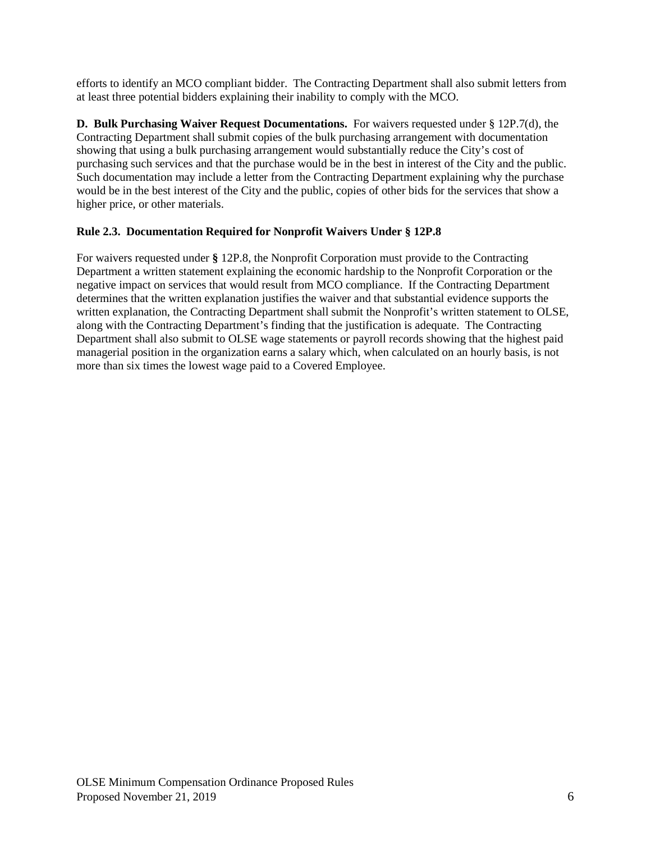efforts to identify an MCO compliant bidder. The Contracting Department shall also submit letters from at least three potential bidders explaining their inability to comply with the MCO.

**D. Bulk Purchasing Waiver Request Documentations.** For waivers requested under § 12P.7(d), the Contracting Department shall submit copies of the bulk purchasing arrangement with documentation showing that using a bulk purchasing arrangement would substantially reduce the City's cost of purchasing such services and that the purchase would be in the best in interest of the City and the public. Such documentation may include a letter from the Contracting Department explaining why the purchase would be in the best interest of the City and the public, copies of other bids for the services that show a higher price, or other materials.

# **Rule 2.3. Documentation Required for Nonprofit Waivers Under § 12P.8**

For waivers requested under **§** 12P.8, the Nonprofit Corporation must provide to the Contracting Department a written statement explaining the economic hardship to the Nonprofit Corporation or the negative impact on services that would result from MCO compliance. If the Contracting Department determines that the written explanation justifies the waiver and that substantial evidence supports the written explanation, the Contracting Department shall submit the Nonprofit's written statement to OLSE. along with the Contracting Department's finding that the justification is adequate. The Contracting Department shall also submit to OLSE wage statements or payroll records showing that the highest paid managerial position in the organization earns a salary which, when calculated on an hourly basis, is not more than six times the lowest wage paid to a Covered Employee.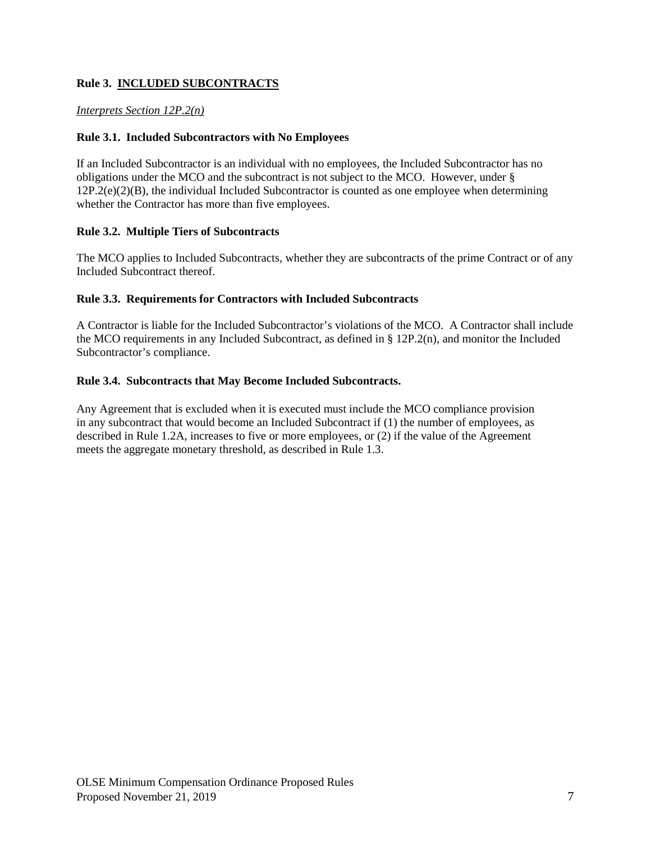# **Rule 3. INCLUDED SUBCONTRACTS**

## *Interprets Section 12P.2(n)*

## **Rule 3.1. Included Subcontractors with No Employees**

If an Included Subcontractor is an individual with no employees, the Included Subcontractor has no obligations under the MCO and the subcontract is not subject to the MCO. However, under §  $12P.2(e)(2)(B)$ , the individual Included Subcontractor is counted as one employee when determining whether the Contractor has more than five employees.

## **Rule 3.2. Multiple Tiers of Subcontracts**

The MCO applies to Included Subcontracts, whether they are subcontracts of the prime Contract or of any Included Subcontract thereof.

## **Rule 3.3. Requirements for Contractors with Included Subcontracts**

A Contractor is liable for the Included Subcontractor's violations of the MCO. A Contractor shall include the MCO requirements in any Included Subcontract, as defined in § 12P.2(n), and monitor the Included Subcontractor's compliance.

## **Rule 3.4. Subcontracts that May Become Included Subcontracts.**

Any Agreement that is excluded when it is executed must include the MCO compliance provision in any subcontract that would become an Included Subcontract if (1) the number of employees, as described in Rule 1.2A, increases to five or more employees, or (2) if the value of the Agreement meets the aggregate monetary threshold, as described in Rule 1.3.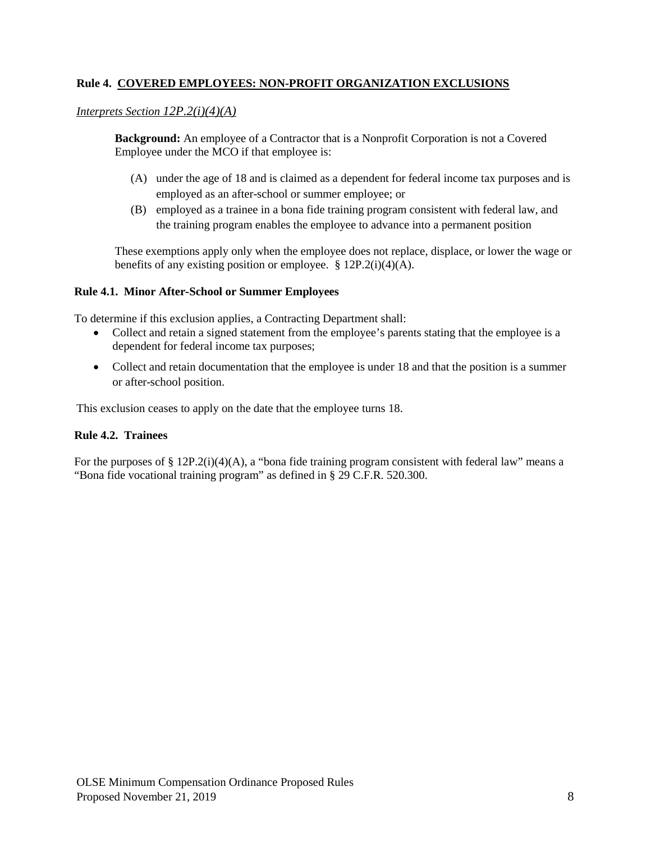## **Rule 4. COVERED EMPLOYEES: NON-PROFIT ORGANIZATION EXCLUSIONS**

## *Interprets Section 12P.2(i)(4)(A)*

**Background:** An employee of a Contractor that is a Nonprofit Corporation is not a Covered Employee under the MCO if that employee is:

- (A) under the age of 18 and is claimed as a dependent for federal income tax purposes and is employed as an after-school or summer employee; or
- (B) employed as a trainee in a bona fide training program consistent with federal law, and the training program enables the employee to advance into a permanent position

These exemptions apply only when the employee does not replace, displace, or lower the wage or benefits of any existing position or employee.  $\S 12P.2(i)(4)(A)$ .

#### **Rule 4.1. Minor After-School or Summer Employees**

To determine if this exclusion applies, a Contracting Department shall:

- Collect and retain a signed statement from the employee's parents stating that the employee is a dependent for federal income tax purposes;
- Collect and retain documentation that the employee is under 18 and that the position is a summer or after-school position.

This exclusion ceases to apply on the date that the employee turns 18.

## **Rule 4.2. Trainees**

For the purposes of § 12P.2(i)(4)(A), a "bona fide training program consistent with federal law" means a "Bona fide vocational training program" as defined in § 29 C.F.R. 520.300.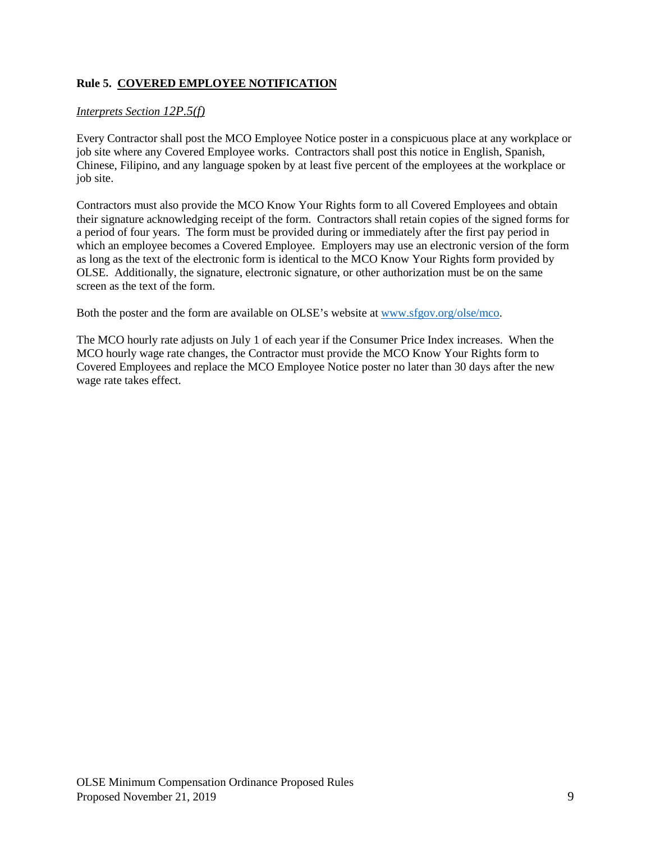# **Rule 5. COVERED EMPLOYEE NOTIFICATION**

## *Interprets Section 12P.5(f)*

Every Contractor shall post the MCO Employee Notice poster in a conspicuous place at any workplace or job site where any Covered Employee works. Contractors shall post this notice in English, Spanish, Chinese, Filipino, and any language spoken by at least five percent of the employees at the workplace or job site.

Contractors must also provide the MCO Know Your Rights form to all Covered Employees and obtain their signature acknowledging receipt of the form. Contractors shall retain copies of the signed forms for a period of four years. The form must be provided during or immediately after the first pay period in which an employee becomes a Covered Employee. Employers may use an electronic version of the form as long as the text of the electronic form is identical to the MCO Know Your Rights form provided by OLSE. Additionally, the signature, electronic signature, or other authorization must be on the same screen as the text of the form.

Both the poster and the form are available on OLSE's website at [www.sfgov.org/olse/mco.](http://www.sfgov.org/olse/mco)

The MCO hourly rate adjusts on July 1 of each year if the Consumer Price Index increases. When the MCO hourly wage rate changes, the Contractor must provide the MCO Know Your Rights form to Covered Employees and replace the MCO Employee Notice poster no later than 30 days after the new wage rate takes effect.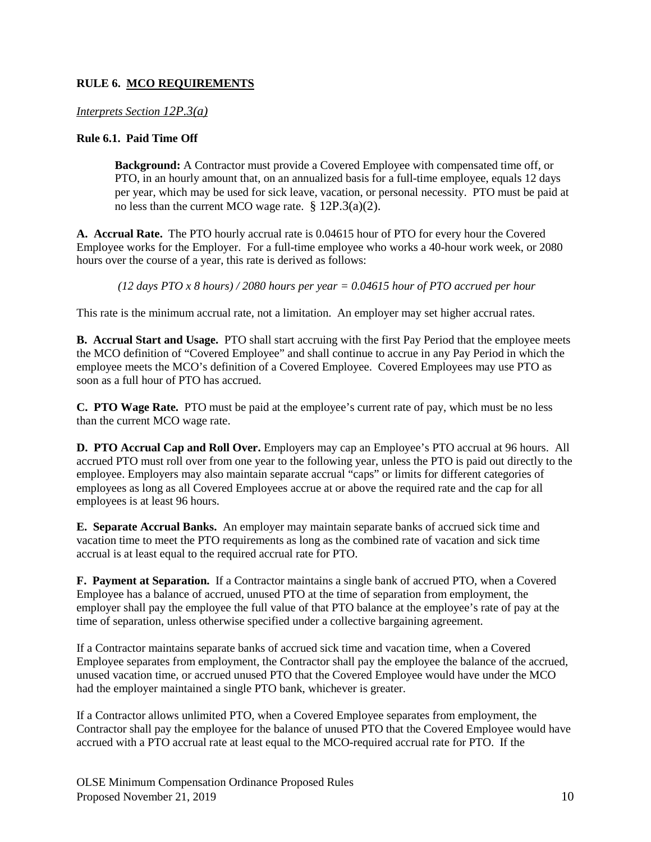# **RULE 6. MCO REQUIREMENTS**

## *Interprets Section 12P.3(a)*

## **Rule 6.1. Paid Time Off**

**Background:** A Contractor must provide a Covered Employee with compensated time off, or PTO, in an hourly amount that, on an annualized basis for a full-time employee, equals 12 days per year, which may be used for sick leave, vacation, or personal necessity. PTO must be paid at no less than the current MCO wage rate. § 12P.3(a)(2).

**A. Accrual Rate.** The PTO hourly accrual rate is 0.04615 hour of PTO for every hour the Covered Employee works for the Employer. For a full-time employee who works a 40-hour work week, or 2080 hours over the course of a year, this rate is derived as follows:

*(12 days PTO x 8 hours) / 2080 hours per year = 0.04615 hour of PTO accrued per hour*

This rate is the minimum accrual rate, not a limitation. An employer may set higher accrual rates.

**B. Accrual Start and Usage.** PTO shall start accruing with the first Pay Period that the employee meets the MCO definition of "Covered Employee" and shall continue to accrue in any Pay Period in which the employee meets the MCO's definition of a Covered Employee. Covered Employees may use PTO as soon as a full hour of PTO has accrued.

**C. PTO Wage Rate.** PTO must be paid at the employee's current rate of pay, which must be no less than the current MCO wage rate.

**D. PTO Accrual Cap and Roll Over.** Employers may cap an Employee's PTO accrual at 96 hours. All accrued PTO must roll over from one year to the following year, unless the PTO is paid out directly to the employee. Employers may also maintain separate accrual "caps" or limits for different categories of employees as long as all Covered Employees accrue at or above the required rate and the cap for all employees is at least 96 hours.

**E. Separate Accrual Banks.** An employer may maintain separate banks of accrued sick time and vacation time to meet the PTO requirements as long as the combined rate of vacation and sick time accrual is at least equal to the required accrual rate for PTO.

**F. Payment at Separation.** If a Contractor maintains a single bank of accrued PTO, when a Covered Employee has a balance of accrued, unused PTO at the time of separation from employment, the employer shall pay the employee the full value of that PTO balance at the employee's rate of pay at the time of separation, unless otherwise specified under a collective bargaining agreement.

If a Contractor maintains separate banks of accrued sick time and vacation time, when a Covered Employee separates from employment, the Contractor shall pay the employee the balance of the accrued, unused vacation time, or accrued unused PTO that the Covered Employee would have under the MCO had the employer maintained a single PTO bank, whichever is greater.

If a Contractor allows unlimited PTO, when a Covered Employee separates from employment, the Contractor shall pay the employee for the balance of unused PTO that the Covered Employee would have accrued with a PTO accrual rate at least equal to the MCO-required accrual rate for PTO. If the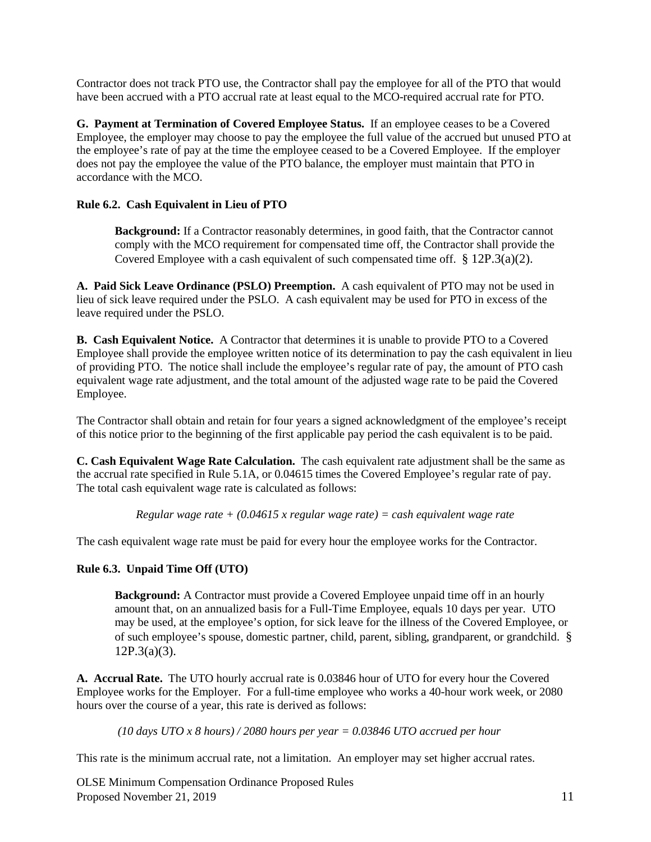Contractor does not track PTO use, the Contractor shall pay the employee for all of the PTO that would have been accrued with a PTO accrual rate at least equal to the MCO-required accrual rate for PTO.

**G. Payment at Termination of Covered Employee Status.** If an employee ceases to be a Covered Employee, the employer may choose to pay the employee the full value of the accrued but unused PTO at the employee's rate of pay at the time the employee ceased to be a Covered Employee. If the employer does not pay the employee the value of the PTO balance, the employer must maintain that PTO in accordance with the MCO.

# **Rule 6.2. Cash Equivalent in Lieu of PTO**

**Background:** If a Contractor reasonably determines, in good faith, that the Contractor cannot comply with the MCO requirement for compensated time off, the Contractor shall provide the Covered Employee with a cash equivalent of such compensated time off. § 12P.3(a)(2).

**A. Paid Sick Leave Ordinance (PSLO) Preemption.** A cash equivalent of PTO may not be used in lieu of sick leave required under the PSLO. A cash equivalent may be used for PTO in excess of the leave required under the PSLO.

**B. Cash Equivalent Notice.** A Contractor that determines it is unable to provide PTO to a Covered Employee shall provide the employee written notice of its determination to pay the cash equivalent in lieu of providing PTO. The notice shall include the employee's regular rate of pay, the amount of PTO cash equivalent wage rate adjustment, and the total amount of the adjusted wage rate to be paid the Covered Employee.

The Contractor shall obtain and retain for four years a signed acknowledgment of the employee's receipt of this notice prior to the beginning of the first applicable pay period the cash equivalent is to be paid.

**C. Cash Equivalent Wage Rate Calculation.** The cash equivalent rate adjustment shall be the same as the accrual rate specified in Rule 5.1A, or 0.04615 times the Covered Employee's regular rate of pay. The total cash equivalent wage rate is calculated as follows:

*Regular wage rate + (0.04615 x regular wage rate) = cash equivalent wage rate* 

The cash equivalent wage rate must be paid for every hour the employee works for the Contractor.

# **Rule 6.3. Unpaid Time Off (UTO)**

**Background:** A Contractor must provide a Covered Employee unpaid time off in an hourly amount that, on an annualized basis for a Full-Time Employee, equals 10 days per year. UTO may be used, at the employee's option, for sick leave for the illness of the Covered Employee, or of such employee's spouse, domestic partner, child, parent, sibling, grandparent, or grandchild. §  $12P.3(a)(3)$ .

**A. Accrual Rate.** The UTO hourly accrual rate is 0.03846 hour of UTO for every hour the Covered Employee works for the Employer. For a full-time employee who works a 40-hour work week, or 2080 hours over the course of a year, this rate is derived as follows:

*(10 days UTO x 8 hours) / 2080 hours per year = 0.03846 UTO accrued per hour*

This rate is the minimum accrual rate, not a limitation. An employer may set higher accrual rates.

OLSE Minimum Compensation Ordinance Proposed Rules Proposed November 21, 2019 11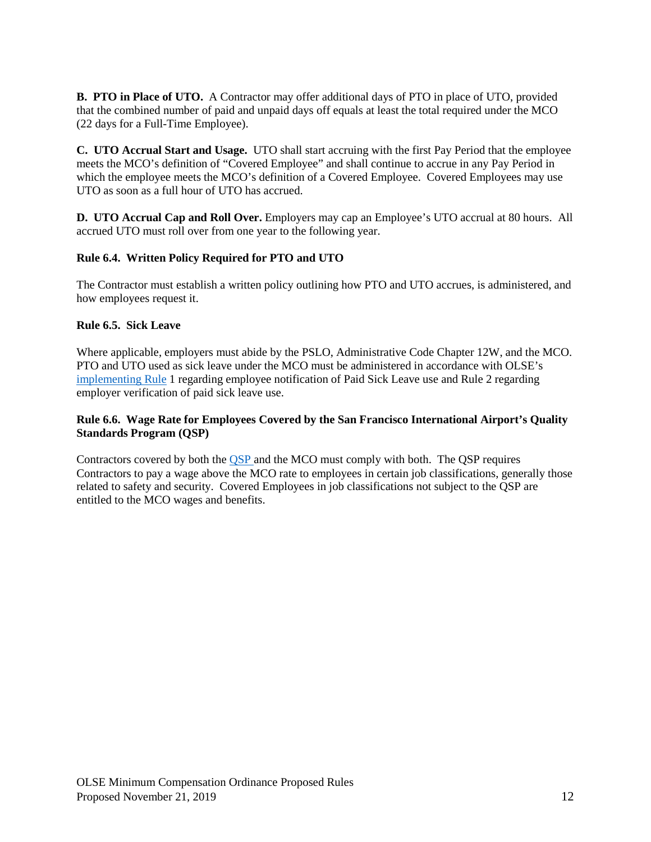**B. PTO in Place of UTO.** A Contractor may offer additional days of PTO in place of UTO, provided that the combined number of paid and unpaid days off equals at least the total required under the MCO (22 days for a Full-Time Employee).

**C. UTO Accrual Start and Usage.** UTO shall start accruing with the first Pay Period that the employee meets the MCO's definition of "Covered Employee" and shall continue to accrue in any Pay Period in which the employee meets the MCO's definition of a Covered Employee. Covered Employees may use UTO as soon as a full hour of UTO has accrued.

**D. UTO Accrual Cap and Roll Over.** Employers may cap an Employee's UTO accrual at 80 hours. All accrued UTO must roll over from one year to the following year.

## **Rule 6.4. Written Policy Required for PTO and UTO**

The Contractor must establish a written policy outlining how PTO and UTO accrues, is administered, and how employees request it.

## **Rule 6.5. Sick Leave**

Where applicable, employers must abide by the PSLO, Administrative Code Chapter 12W, and the MCO. PTO and UTO used as sick leave under the MCO must be administered in accordance with OLSE's [implementing Rule](https://sfgov.org/olse/sites/default/files/Document/PSLO%20Final%20Rules%2005%2007%202018%20to%20post.pdf) 1 regarding employee notification of Paid Sick Leave use and Rule 2 regarding employer verification of paid sick leave use.

## **Rule 6.6. Wage Rate for Employees Covered by the San Francisco International Airport's Quality Standards Program (QSP)**

Contractors covered by both the [QSP a](https://www.flysfo.com/about-sfo/the-organization/rules-and-regulations)nd the MCO must comply with both. The QSP requires Contractors to pay a wage above the MCO rate to employees in certain job classifications, generally those related to safety and security. Covered Employees in job classifications not subject to the QSP are entitled to the MCO wages and benefits.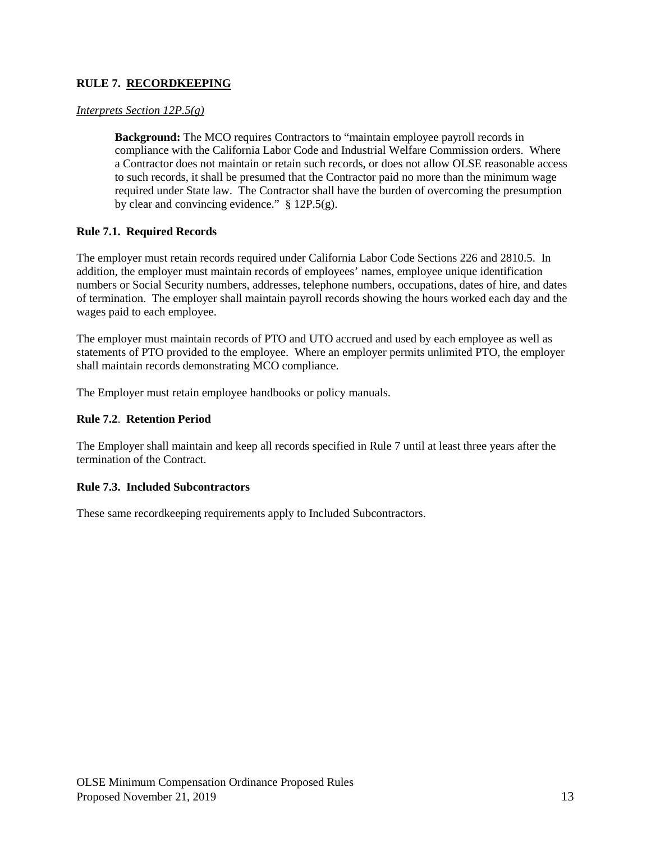# **RULE 7. RECORDKEEPING**

## *Interprets Section 12P.5(g)*

**Background:** The MCO requires Contractors to "maintain employee payroll records in compliance with the California Labor Code and Industrial Welfare Commission orders. Where a Contractor does not maintain or retain such records, or does not allow OLSE reasonable access to such records, it shall be presumed that the Contractor paid no more than the minimum wage required under State law. The Contractor shall have the burden of overcoming the presumption by clear and convincing evidence."  $§ 12P.5(g)$ .

## **Rule 7.1. Required Records**

The employer must retain records required under California Labor Code Sections 226 and 2810.5. In addition, the employer must maintain records of employees' names, employee unique identification numbers or Social Security numbers, addresses, telephone numbers, occupations, dates of hire, and dates of termination. The employer shall maintain payroll records showing the hours worked each day and the wages paid to each employee.

The employer must maintain records of PTO and UTO accrued and used by each employee as well as statements of PTO provided to the employee. Where an employer permits unlimited PTO, the employer shall maintain records demonstrating MCO compliance.

The Employer must retain employee handbooks or policy manuals.

#### **Rule 7.2**. **Retention Period**

The Employer shall maintain and keep all records specified in Rule 7 until at least three years after the termination of the Contract.

#### **Rule 7.3. Included Subcontractors**

These same recordkeeping requirements apply to Included Subcontractors.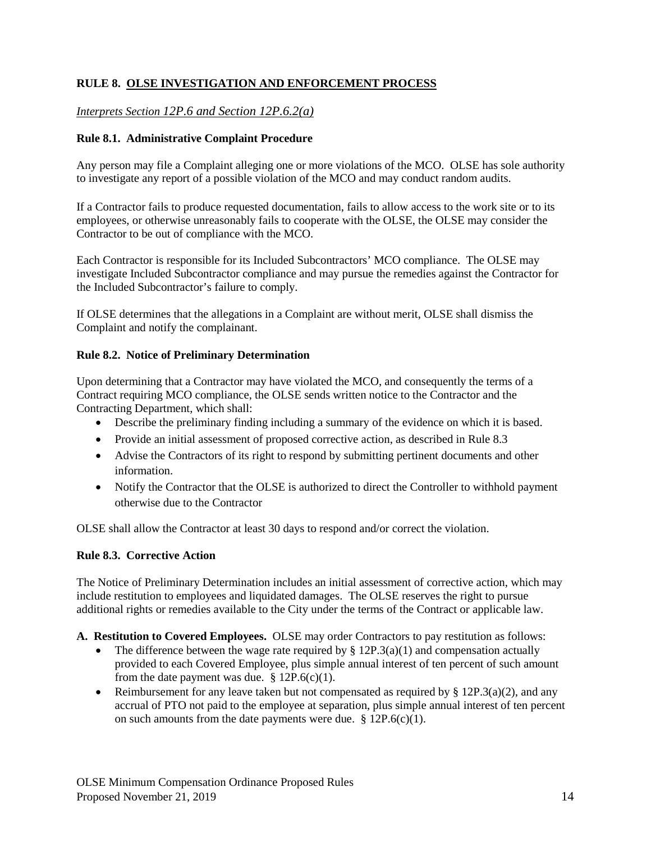# **RULE 8. OLSE INVESTIGATION AND ENFORCEMENT PROCESS**

# *Interprets Section 12P.6 and Section 12P.6.2(a)*

## **Rule 8.1. Administrative Complaint Procedure**

Any person may file a Complaint alleging one or more violations of the MCO. OLSE has sole authority to investigate any report of a possible violation of the MCO and may conduct random audits.

If a Contractor fails to produce requested documentation, fails to allow access to the work site or to its employees, or otherwise unreasonably fails to cooperate with the OLSE, the OLSE may consider the Contractor to be out of compliance with the MCO.

Each Contractor is responsible for its Included Subcontractors' MCO compliance. The OLSE may investigate Included Subcontractor compliance and may pursue the remedies against the Contractor for the Included Subcontractor's failure to comply.

If OLSE determines that the allegations in a Complaint are without merit, OLSE shall dismiss the Complaint and notify the complainant.

## **Rule 8.2. Notice of Preliminary Determination**

Upon determining that a Contractor may have violated the MCO, and consequently the terms of a Contract requiring MCO compliance, the OLSE sends written notice to the Contractor and the Contracting Department, which shall:

- Describe the preliminary finding including a summary of the evidence on which it is based.
- Provide an initial assessment of proposed corrective action, as described in Rule 8.3
- Advise the Contractors of its right to respond by submitting pertinent documents and other information.
- Notify the Contractor that the OLSE is authorized to direct the Controller to withhold payment otherwise due to the Contractor

OLSE shall allow the Contractor at least 30 days to respond and/or correct the violation.

# **Rule 8.3. Corrective Action**

The Notice of Preliminary Determination includes an initial assessment of corrective action, which may include restitution to employees and liquidated damages. The OLSE reserves the right to pursue additional rights or remedies available to the City under the terms of the Contract or applicable law.

- **A. Restitution to Covered Employees.** OLSE may order Contractors to pay restitution as follows:
	- The difference between the wage rate required by  $\S 12P.3(a)(1)$  and compensation actually provided to each Covered Employee, plus simple annual interest of ten percent of such amount from the date payment was due.  $§ 12P.6(c)(1)$ .
	- Reimbursement for any leave taken but not compensated as required by  $\S 12P.3(a)(2)$ , and any accrual of PTO not paid to the employee at separation, plus simple annual interest of ten percent on such amounts from the date payments were due.  $§ 12P.6(c)(1)$ .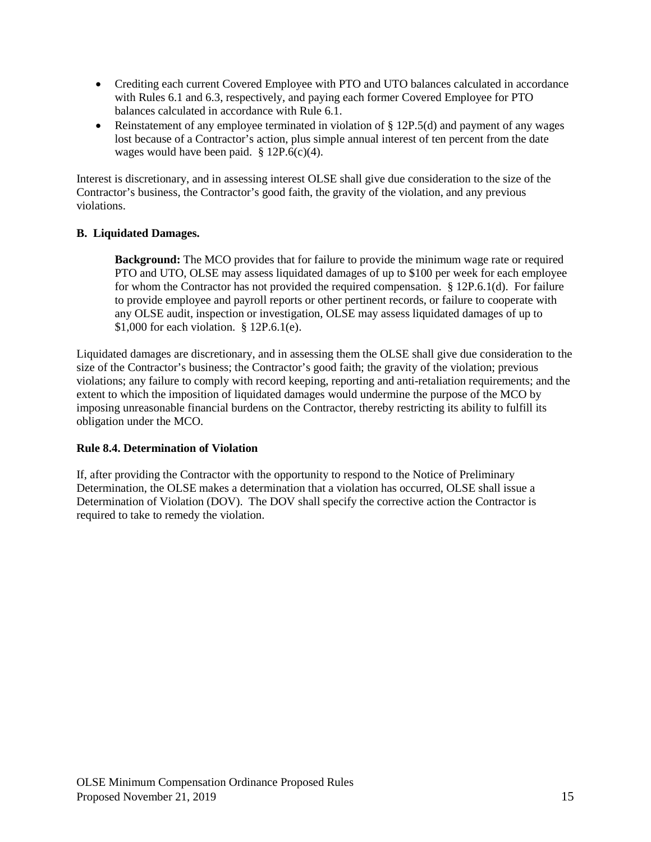- Crediting each current Covered Employee with PTO and UTO balances calculated in accordance with Rules 6.1 and 6.3, respectively, and paying each former Covered Employee for PTO balances calculated in accordance with Rule 6.1.
- Reinstatement of any employee terminated in violation of § 12P.5(d) and payment of any wages lost because of a Contractor's action, plus simple annual interest of ten percent from the date wages would have been paid. § 12P.6(c)(4).

Interest is discretionary, and in assessing interest OLSE shall give due consideration to the size of the Contractor's business, the Contractor's good faith, the gravity of the violation, and any previous violations.

# **B. Liquidated Damages.**

**Background:** The MCO provides that for failure to provide the minimum wage rate or required PTO and UTO, OLSE may assess liquidated damages of up to \$100 per week for each employee for whom the Contractor has not provided the required compensation. § 12P.6.1(d). For failure to provide employee and payroll reports or other pertinent records, or failure to cooperate with any OLSE audit, inspection or investigation, OLSE may assess liquidated damages of up to \$1,000 for each violation. § 12P.6.1(e).

Liquidated damages are discretionary, and in assessing them the OLSE shall give due consideration to the size of the Contractor's business; the Contractor's good faith; the gravity of the violation; previous violations; any failure to comply with record keeping, reporting and anti-retaliation requirements; and the extent to which the imposition of liquidated damages would undermine the purpose of the MCO by imposing unreasonable financial burdens on the Contractor, thereby restricting its ability to fulfill its obligation under the MCO.

# **Rule 8.4. Determination of Violation**

If, after providing the Contractor with the opportunity to respond to the Notice of Preliminary Determination, the OLSE makes a determination that a violation has occurred, OLSE shall issue a Determination of Violation (DOV). The DOV shall specify the corrective action the Contractor is required to take to remedy the violation.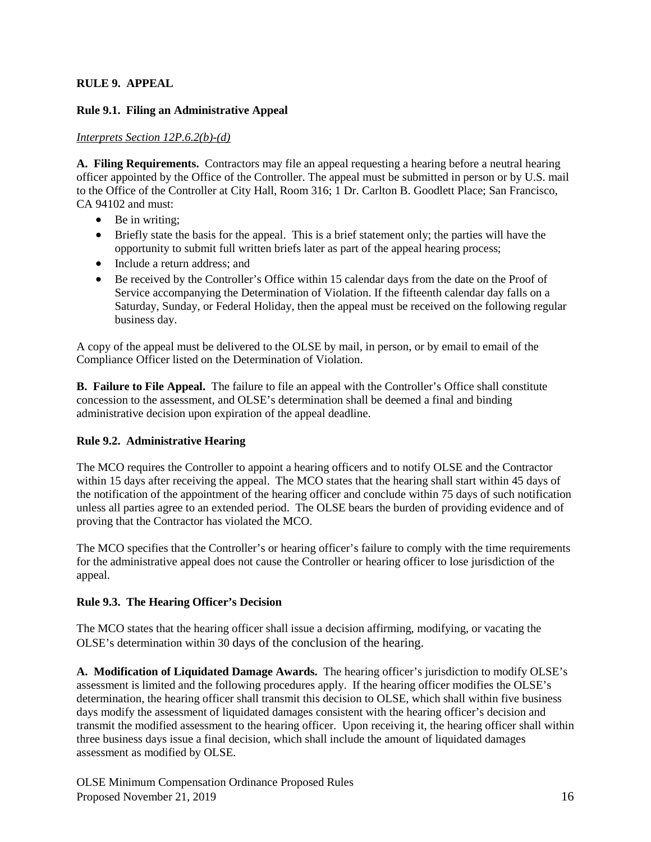# **RULE 9. APPEAL**

## **Rule 9.1. Filing an Administrative Appeal**

## *Interprets Section 12P.6.2(b)-(d)*

**A. Filing Requirements.** Contractors may file an appeal requesting a hearing before a neutral hearing officer appointed by the Office of the Controller. The appeal must be submitted in person or by U.S. mail to the Office of the Controller at City Hall, Room 316; 1 Dr. Carlton B. Goodlett Place; San Francisco, CA 94102 and must:

- Be in writing:
- Briefly state the basis for the appeal. This is a brief statement only; the parties will have the opportunity to submit full written briefs later as part of the appeal hearing process;
- Include a return address; and
- Be received by the Controller's Office within 15 calendar days from the date on the Proof of Service accompanying the Determination of Violation. If the fifteenth calendar day falls on a Saturday, Sunday, or Federal Holiday, then the appeal must be received on the following regular business day.

A copy of the appeal must be delivered to the OLSE by mail, in person, or by email to email of the Compliance Officer listed on the Determination of Violation.

**B. Failure to File Appeal.** The failure to file an appeal with the Controller's Office shall constitute concession to the assessment, and OLSE's determination shall be deemed a final and binding administrative decision upon expiration of the appeal deadline.

# **Rule 9.2. Administrative Hearing**

The MCO requires the Controller to appoint a hearing officers and to notify OLSE and the Contractor within 15 days after receiving the appeal. The MCO states that the hearing shall start within 45 days of the notification of the appointment of the hearing officer and conclude within 75 days of such notification unless all parties agree to an extended period. The OLSE bears the burden of providing evidence and of proving that the Contractor has violated the MCO.

The MCO specifies that the Controller's or hearing officer's failure to comply with the time requirements for the administrative appeal does not cause the Controller or hearing officer to lose jurisdiction of the appeal.

# **Rule 9.3. The Hearing Officer's Decision**

The MCO states that the hearing officer shall issue a decision affirming, modifying, or vacating the OLSE's determination within 30 days of the conclusion of the hearing.

**A. Modification of Liquidated Damage Awards.** The hearing officer's jurisdiction to modify OLSE's assessment is limited and the following procedures apply. If the hearing officer modifies the OLSE's determination, the hearing officer shall transmit this decision to OLSE, which shall within five business days modify the assessment of liquidated damages consistent with the hearing officer's decision and transmit the modified assessment to the hearing officer. Upon receiving it, the hearing officer shall within three business days issue a final decision, which shall include the amount of liquidated damages assessment as modified by OLSE.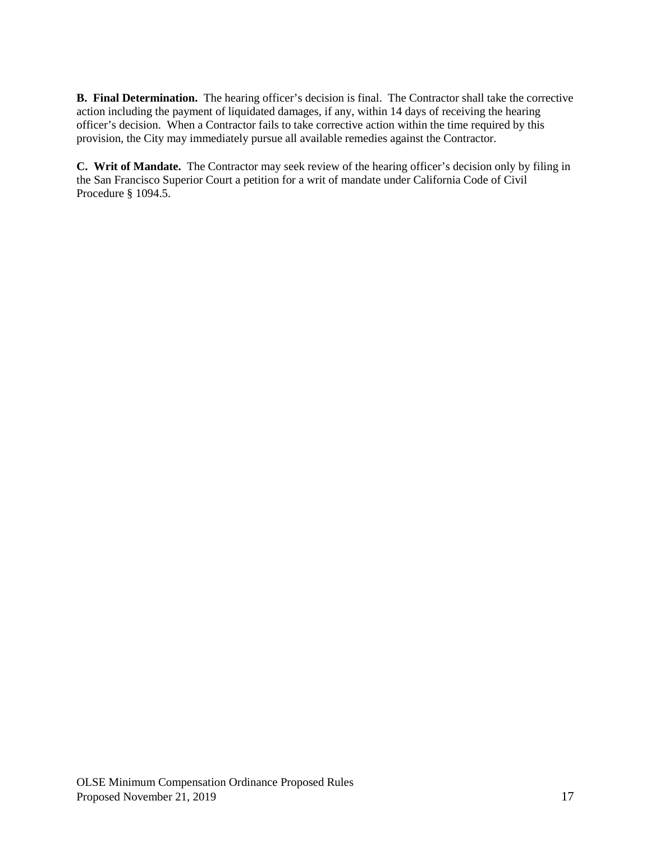**B. Final Determination.** The hearing officer's decision is final. The Contractor shall take the corrective action including the payment of liquidated damages, if any, within 14 days of receiving the hearing officer's decision. When a Contractor fails to take corrective action within the time required by this provision, the City may immediately pursue all available remedies against the Contractor.

**C. Writ of Mandate.** The Contractor may seek review of the hearing officer's decision only by filing in the San Francisco Superior Court a petition for a writ of mandate under California Code of Civil Procedure § 1094.5.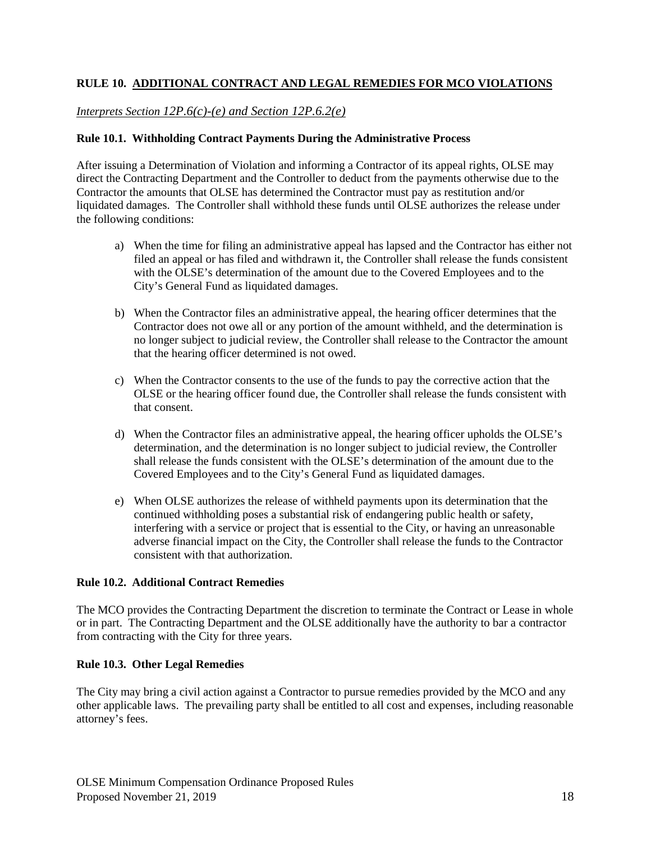# **RULE 10. ADDITIONAL CONTRACT AND LEGAL REMEDIES FOR MCO VIOLATIONS**

# *Interprets Section 12P.6(c)-(e) and Section 12P.6.2(e)*

#### **Rule 10.1. Withholding Contract Payments During the Administrative Process**

After issuing a Determination of Violation and informing a Contractor of its appeal rights, OLSE may direct the Contracting Department and the Controller to deduct from the payments otherwise due to the Contractor the amounts that OLSE has determined the Contractor must pay as restitution and/or liquidated damages. The Controller shall withhold these funds until OLSE authorizes the release under the following conditions:

- a) When the time for filing an administrative appeal has lapsed and the Contractor has either not filed an appeal or has filed and withdrawn it, the Controller shall release the funds consistent with the OLSE's determination of the amount due to the Covered Employees and to the City's General Fund as liquidated damages.
- b) When the Contractor files an administrative appeal, the hearing officer determines that the Contractor does not owe all or any portion of the amount withheld, and the determination is no longer subject to judicial review, the Controller shall release to the Contractor the amount that the hearing officer determined is not owed.
- c) When the Contractor consents to the use of the funds to pay the corrective action that the OLSE or the hearing officer found due, the Controller shall release the funds consistent with that consent.
- d) When the Contractor files an administrative appeal, the hearing officer upholds the OLSE's determination, and the determination is no longer subject to judicial review, the Controller shall release the funds consistent with the OLSE's determination of the amount due to the Covered Employees and to the City's General Fund as liquidated damages.
- e) When OLSE authorizes the release of withheld payments upon its determination that the continued withholding poses a substantial risk of endangering public health or safety, interfering with a service or project that is essential to the City, or having an unreasonable adverse financial impact on the City, the Controller shall release the funds to the Contractor consistent with that authorization.

## **Rule 10.2. Additional Contract Remedies**

The MCO provides the Contracting Department the discretion to terminate the Contract or Lease in whole or in part. The Contracting Department and the OLSE additionally have the authority to bar a contractor from contracting with the City for three years.

## **Rule 10.3. Other Legal Remedies**

The City may bring a civil action against a Contractor to pursue remedies provided by the MCO and any other applicable laws. The prevailing party shall be entitled to all cost and expenses, including reasonable attorney's fees.